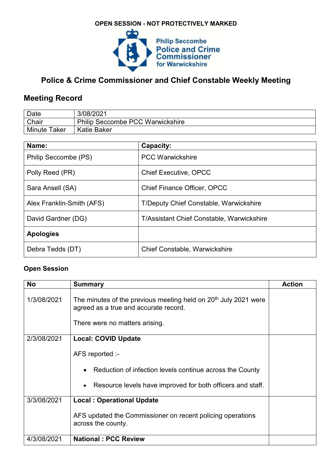## **OPEN SESSION - NOT PROTECTIVELY MARKED**



## **Police & Crime Commissioner and Chief Constable Weekly Meeting**

## **Meeting Record**

| Date                | 3/08/2021                               |
|---------------------|-----------------------------------------|
| Chair               | <b>Philip Seccombe PCC Warwickshire</b> |
| <b>Minute Taker</b> | <b>Katie Baker</b>                      |

| Name:                     | Capacity:                                        |
|---------------------------|--------------------------------------------------|
| Philip Seccombe (PS)      | <b>PCC Warwickshire</b>                          |
| Polly Reed (PR)           | <b>Chief Executive, OPCC</b>                     |
| Sara Ansell (SA)          | <b>Chief Finance Officer, OPCC</b>               |
| Alex Franklin-Smith (AFS) | <b>T/Deputy Chief Constable, Warwickshire</b>    |
| David Gardner (DG)        | <b>T/Assistant Chief Constable, Warwickshire</b> |
| <b>Apologies</b>          |                                                  |
| Debra Tedds (DT)          | <b>Chief Constable, Warwickshire</b>             |

## **Open Session**

| <b>No</b>   | <b>Summary</b>                                                                                                                                         | <b>Action</b> |
|-------------|--------------------------------------------------------------------------------------------------------------------------------------------------------|---------------|
| 1/3/08/2021 | The minutes of the previous meeting held on 20 <sup>th</sup> July 2021 were<br>agreed as a true and accurate record.<br>There were no matters arising. |               |
| 2/3/08/2021 | <b>Local: COVID Update</b>                                                                                                                             |               |
|             |                                                                                                                                                        |               |
|             | AFS reported :-                                                                                                                                        |               |
|             | Reduction of infection levels continue across the County<br>$\bullet$                                                                                  |               |
|             | Resource levels have improved for both officers and staff.<br>$\bullet$                                                                                |               |
| 3/3/08/2021 | <b>Local: Operational Update</b>                                                                                                                       |               |
|             | AFS updated the Commissioner on recent policing operations<br>across the county.                                                                       |               |
| 4/3/08/2021 | <b>National: PCC Review</b>                                                                                                                            |               |